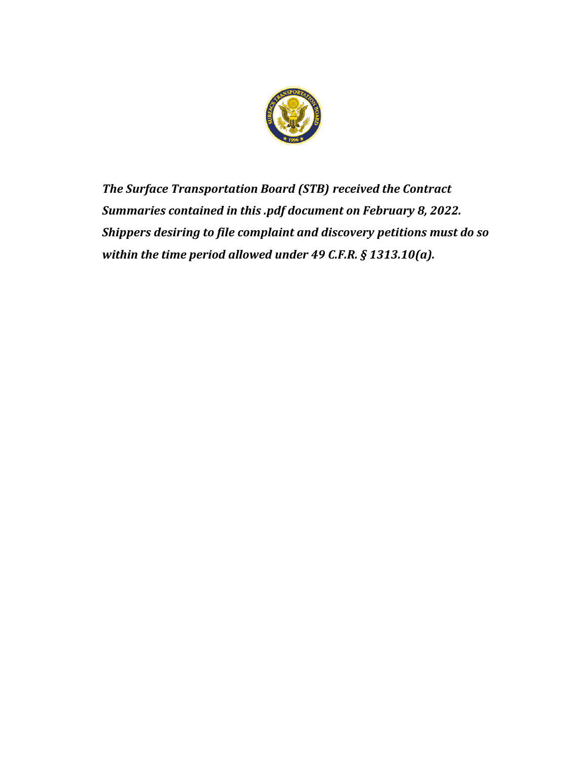

*The Surface Transportation Board (STB) received the Contract Summaries contained in this .pdf document on February 8, 2022. Shippers desiring to file complaint and discovery petitions must do so within the time period allowed under 49 C.F.R. § 1313.10(a).*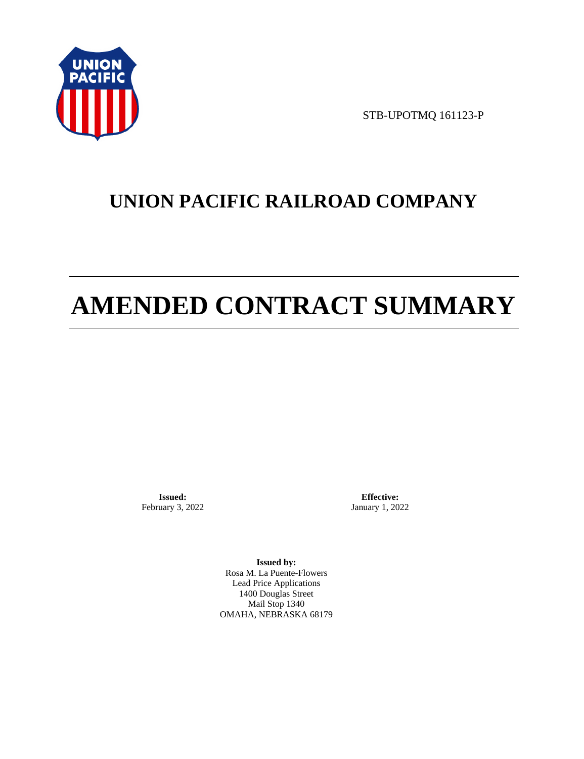

STB-UPOTMQ 161123-P

# **UNION PACIFIC RAILROAD COMPANY**

# **AMENDED CONTRACT SUMMARY**

**Issued:**  February 3, 2022

**Effective:** January 1, 2022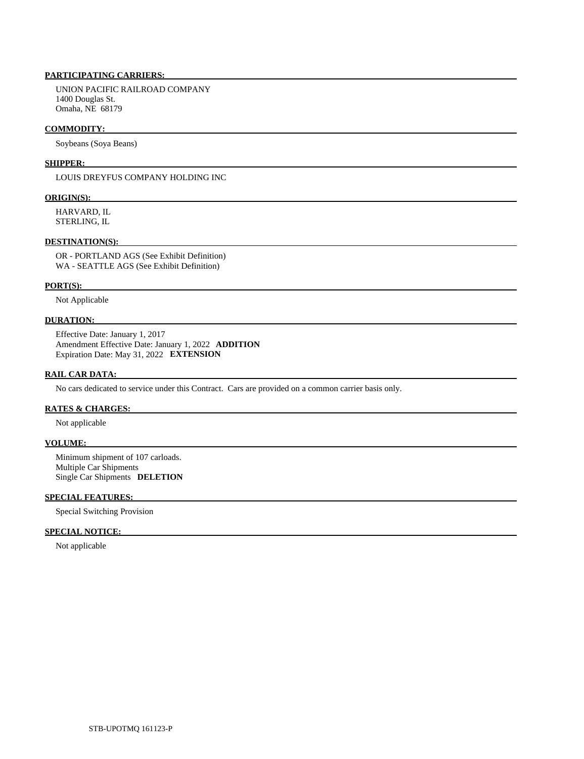UNION PACIFIC RAILROAD COMPANY 1400 Douglas St. Omaha, NE 68179

#### **COMMODITY:**

Soybeans (Soya Beans)

#### **SHIPPER:**

LOUIS DREYFUS COMPANY HOLDING INC

#### **ORIGIN(S):**

 HARVARD, IL STERLING, IL

### **DESTINATION(S):**

 OR - PORTLAND AGS (See Exhibit Definition) WA - SEATTLE AGS (See Exhibit Definition)

#### **PORT(S):**

Not Applicable

# **DURATION:**

 Effective Date: January 1, 2017 Amendment Effective Date: January 1, 2022 **ADDITION**  Expiration Date: May 31, 2022 **EXTENSION** 

#### **RAIL CAR DATA:**

No cars dedicated to service under this Contract. Cars are provided on a common carrier basis only.

## **RATES & CHARGES:**

Not applicable

## **VOLUME:**

 Minimum shipment of 107 carloads. Multiple Car Shipments Single Car Shipments **DELETION** 

# **SPECIAL FEATURES:**

Special Switching Provision

#### **SPECIAL NOTICE:**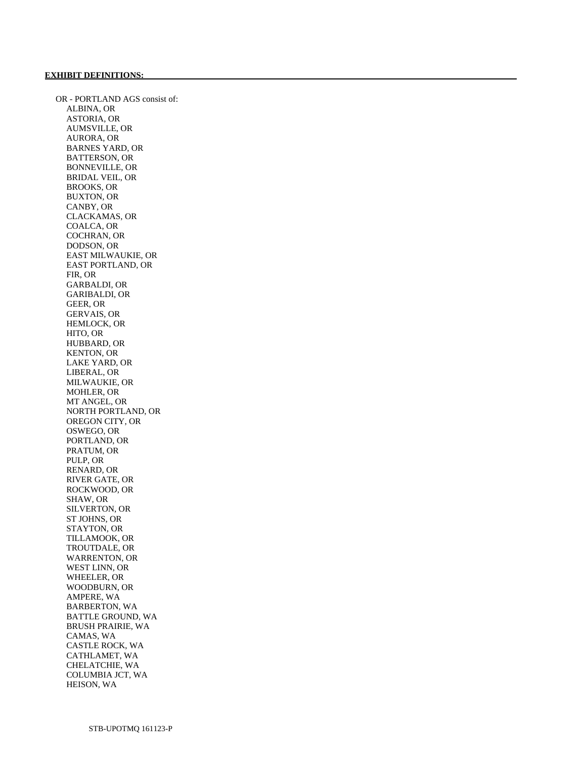OR - PORTLAND AGS consist of: ALBINA, OR ASTORIA, OR AUMSVILLE, OR AURORA, OR BARNES YARD, OR BATTERSON, OR BONNEVILLE, OR BRIDAL VEIL, OR BROOKS, OR BUXTON, OR CANBY, OR CLACKAMAS, OR COALCA, OR COCHRAN, OR DODSON, OR EAST MILWAUKIE, OR EAST PORTLAND, OR FIR, OR GARBALDI, OR GARIBALDI, OR GEER, OR GERVAIS, OR HEMLOCK, OR HITO, OR HUBBARD, OR KENTON, OR LAKE YARD, OR LIBERAL, OR MILWAUKIE, OR MOHLER, OR MT ANGEL, OR NORTH PORTLAND, OR OREGON CITY, OR OSWEGO, OR PORTLAND, OR PRATUM, OR PULP, OR RENARD, OR RIVER GATE, OR ROCKWOOD, OR SHAW, OR SILVERTON, OR ST JOHNS, OR STAYTON, OR TILLAMOOK, OR TROUTDALE, OR WARRENTON, OR WEST LINN, OR WHEELER, OR WOODBURN, OR AMPERE, WA BARBERTON, WA BATTLE GROUND, WA BRUSH PRAIRIE, WA CAMAS, WA CASTLE ROCK, WA CATHLAMET, WA CHELATCHIE, WA COLUMBIA JCT, WA HEISON, WA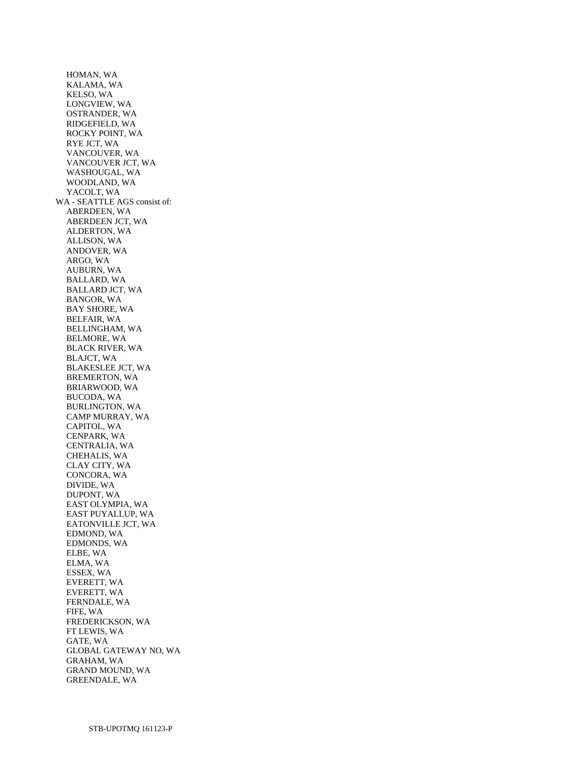HOMAN, WA KALAMA, WA KELSO, WA LONGVIEW, WA OSTRANDER, WA RIDGEFIELD, WA ROCKY POINT, WA RYE JCT, WA VANCOUVER, WA VANCOUVER JCT, WA WASHOUGAL, WA WOODLAND, WA YACOLT, WA WA - SEATTLE AGS consist of: ABERDEEN, WA ABERDEEN JCT, WA ALDERTON, WA ALLISON, WA ANDOVER, WA ARGO, WA AUBURN, WA BALLARD, WA BALLARD JCT, WA BANGOR, WA BAY SHORE, WA BELFAIR, WA BELLINGHAM, WA BELMORE, WA BLACK RIVER, WA BLAJCT, WA BLAKESLEE JCT, WA BREMERTON, WA BRIARWOOD, WA BUCODA, WA BURLINGTON, WA CAMP MURRAY, WA CAPITOL, WA CENPARK, WA CENTRALIA, WA CHEHALIS, WA CLAY CITY, WA CONCORA, WA DIVIDE, WA DUPONT, WA EAST OLYMPIA, WA EAST PUYALLUP, WA EATONVILLE JCT, WA EDMOND, WA EDMONDS, WA ELBE, WA ELMA, WA ESSEX, WA EVERETT, WA EVERETT, WA FERNDALE, WA FIFE, WA FREDERICKSON, WA FT LEWIS, WA GATE, WA GLOBAL GATEWAY NO, WA GRAHAM, WA GRAND MOUND, WA GREENDALE, WA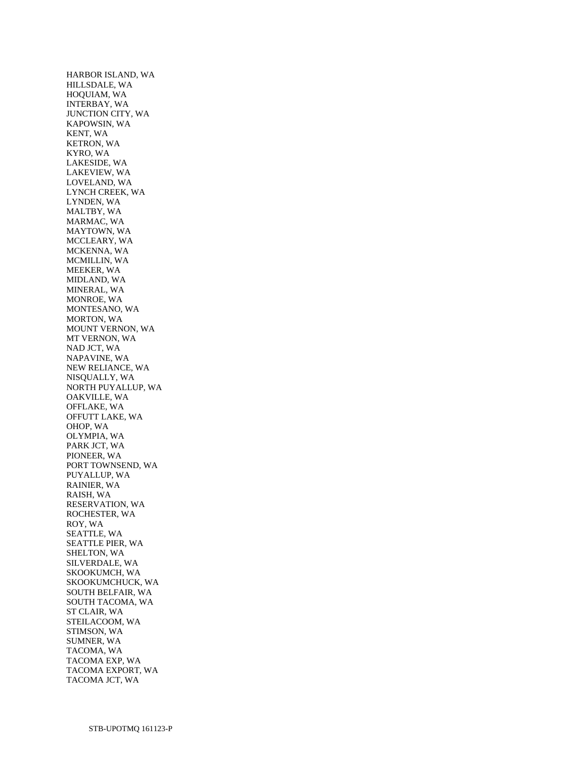HARBOR ISLAND, WA HILLSDALE, WA HOQUIAM, WA INTERBAY, WA JUNCTION CITY, WA KAPOWSIN, WA KENT, WA KETRON, WA KYRO, WA LAKESIDE, WA LAKEVIEW, WA LOVELAND, WA LYNCH CREEK, WA LYNDEN, WA MALTBY, WA MARMAC, WA MAYTOWN, WA MCCLEARY, WA MCKENNA, WA MCMILLIN, WA MEEKER, WA MIDLAND, WA MINERAL, WA MONROE, WA MONTESANO, WA MORTON, WA MOUNT VERNON, WA MT VERNON, WA NAD JCT, WA NAPAVINE, WA NEW RELIANCE, WA NISQUALLY, WA NORTH PUYALLUP, WA OAKVILLE, WA OFFLAKE, WA OFFUTT LAKE, WA OHOP, WA OLYMPIA, WA PARK JCT, WA PIONEER, WA PORT TOWNSEND, WA PUYALLUP, WA RAINIER, WA RAISH, WA RESERVATION, WA ROCHESTER, WA ROY, WA SEATTLE, WA SEATTLE PIER, WA SHELTON, WA SILVERDALE, WA SKOOKUMCH, WA SKOOKUMCHUCK, WA SOUTH BELFAIR, WA SOUTH TACOMA, WA ST CLAIR, WA STEILACOOM, WA STIMSON, WA SUMNER, WA TACOMA, WA TACOMA EXP, WA TACOMA EXPORT, WA TACOMA JCT, WA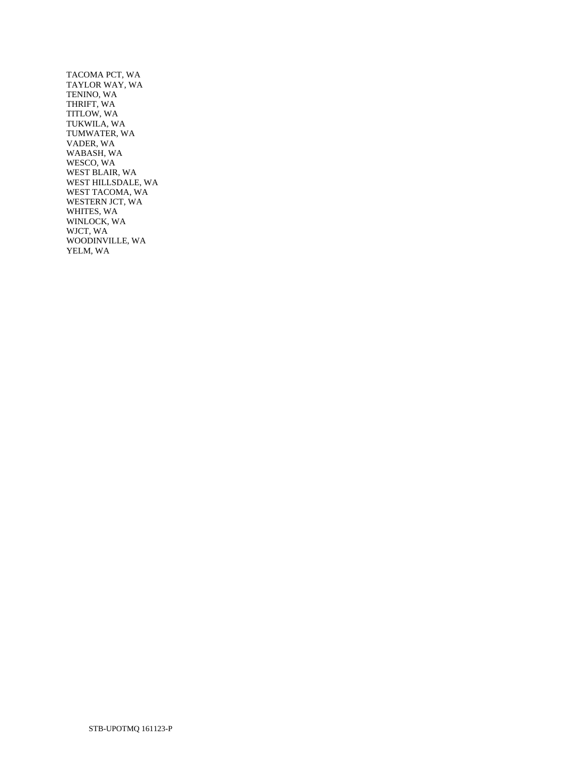TACOMA PCT, WA TAYLOR WAY, WA TENINO, WA THRIFT, WA TITLOW, WA TUKWILA, WA TUMWATER, WA VADER, WA WABASH, WA WESCO, WA WEST BLAIR, WA WEST HILLSDALE, WA WEST TACOMA, WA WESTERN JCT, WA WHITES, WA WINLOCK, WA WJCT, WA WOODINVILLE, WA YELM, WA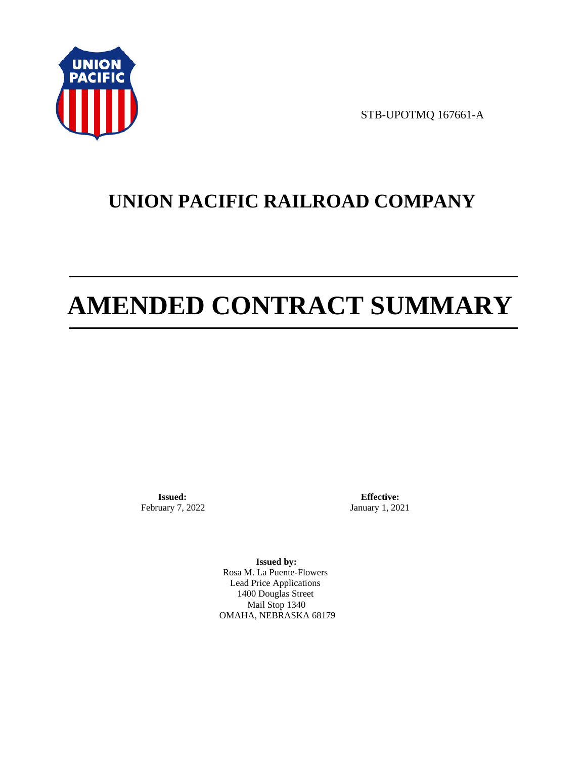

STB-UPOTMQ 167661-A

# **UNION PACIFIC RAILROAD COMPANY**

# **AMENDED CONTRACT SUMMARY**

**Issued:**  February 7, 2022

**Effective:** January 1, 2021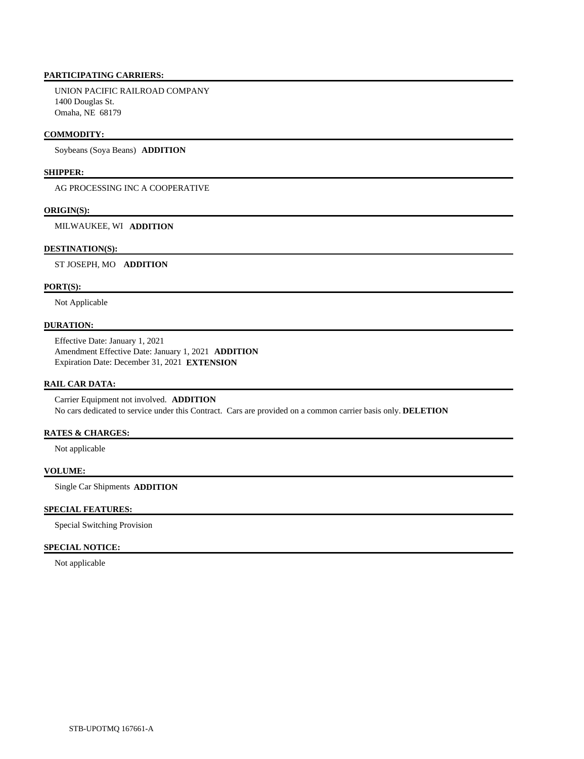UNION PACIFIC RAILROAD COMPANY 1400 Douglas St. Omaha, NE 68179

### **COMMODITY:**

Soybeans (Soya Beans) **ADDITION** 

# **SHIPPER:**

AG PROCESSING INC A COOPERATIVE

#### **ORIGIN(S):**

MILWAUKEE, WI **ADDITION** 

#### **DESTINATION(S):**

ST JOSEPH, MO **ADDITION** 

# **PORT(S):**

Not Applicable

#### **DURATION:**

 Effective Date: January 1, 2021 Amendment Effective Date: January 1, 2021 **ADDITION**  Expiration Date: December 31, 2021 **EXTENSION** 

#### **RAIL CAR DATA:**

 Carrier Equipment not involved. **ADDITION**  No cars dedicated to service under this Contract. Cars are provided on a common carrier basis only. **DELETION** 

#### **RATES & CHARGES:**

Not applicable

# **VOLUME:**

Single Car Shipments **ADDITION** 

#### **SPECIAL FEATURES:**

Special Switching Provision

#### **SPECIAL NOTICE:**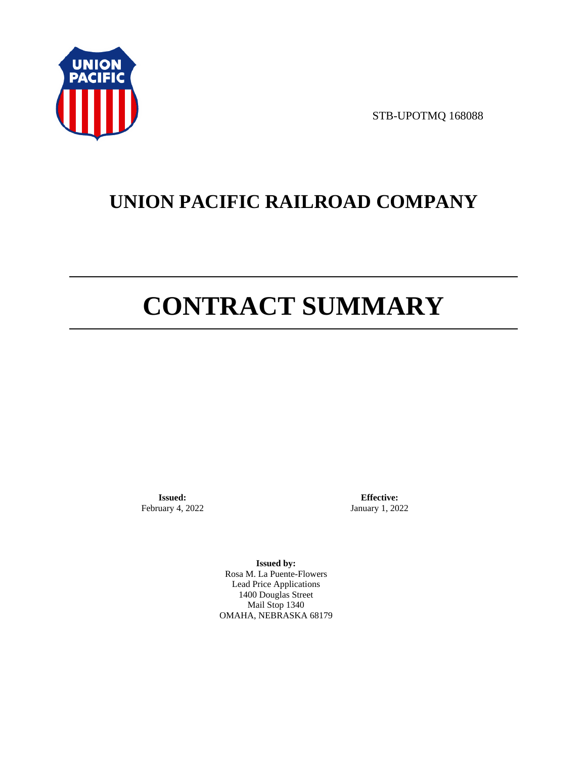

STB-UPOTMQ 168088

# **UNION PACIFIC RAILROAD COMPANY**

# **CONTRACT SUMMARY**

**Issued:**  February 4, 2022

**Effective:** January 1, 2022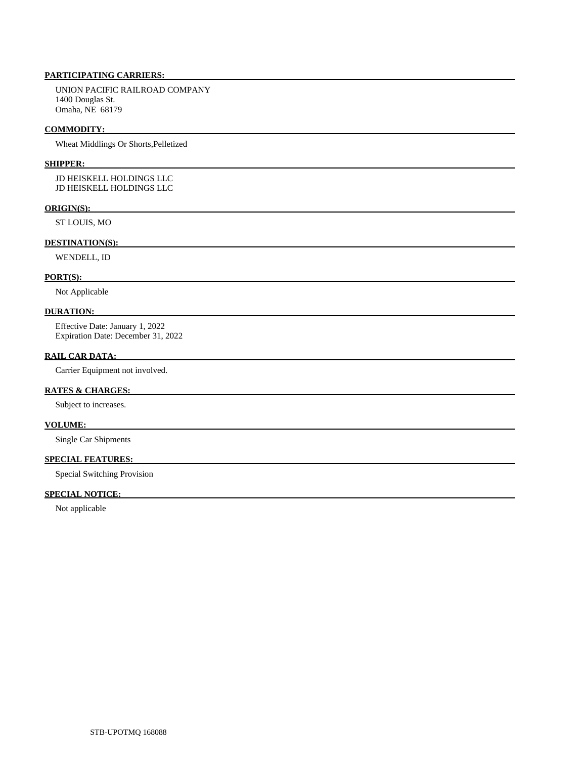UNION PACIFIC RAILROAD COMPANY 1400 Douglas St. Omaha, NE 68179

#### **COMMODITY:**

Wheat Middlings Or Shorts,Pelletized

#### **SHIPPER:**

 JD HEISKELL HOLDINGS LLC JD HEISKELL HOLDINGS LLC

# **ORIGIN(S):**

ST LOUIS, MO

#### **DESTINATION(S):**

WENDELL, ID

#### **PORT(S):**

Not Applicable

#### **DURATION:**

 Effective Date: January 1, 2022 Expiration Date: December 31, 2022

#### **RAIL CAR DATA:**

Carrier Equipment not involved.

### **RATES & CHARGES:**

Subject to increases.

#### **VOLUME:**

Single Car Shipments

# **SPECIAL FEATURES:**

Special Switching Provision

# **SPECIAL NOTICE:**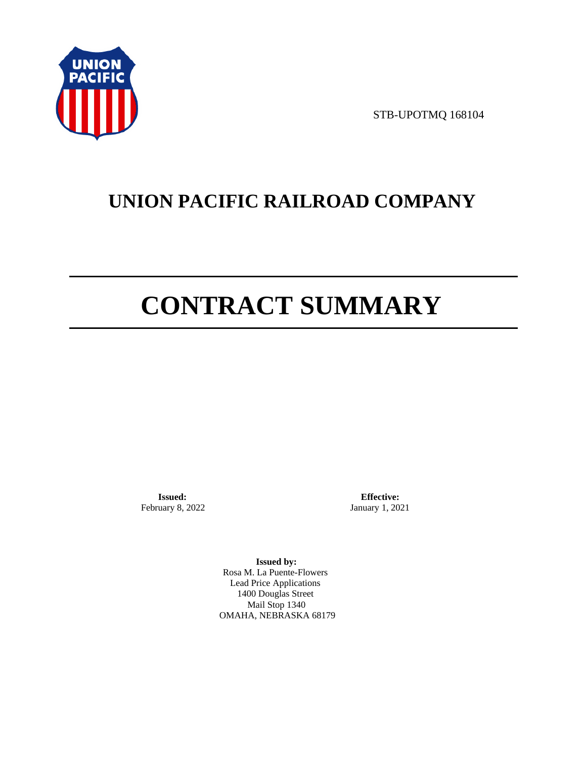

STB-UPOTMQ 168104

# **UNION PACIFIC RAILROAD COMPANY**

# **CONTRACT SUMMARY**

**Issued:**  February 8, 2022

**Effective:** January 1, 2021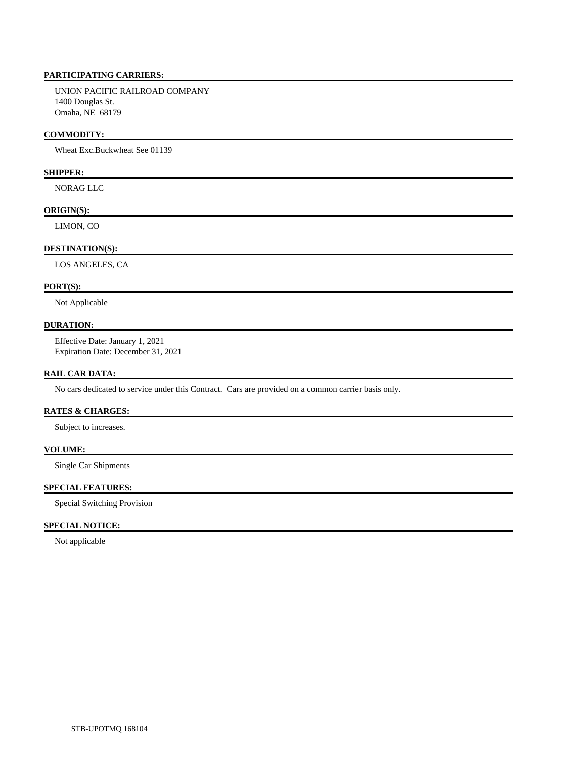UNION PACIFIC RAILROAD COMPANY 1400 Douglas St. Omaha, NE 68179

#### **COMMODITY:**

Wheat Exc.Buckwheat See 01139

# **SHIPPER:**

NORAG LLC

#### **ORIGIN(S):**

LIMON, CO

#### **DESTINATION(S):**

LOS ANGELES, CA

# **PORT(S):**

Not Applicable

# **DURATION:**

 Effective Date: January 1, 2021 Expiration Date: December 31, 2021

#### **RAIL CAR DATA:**

No cars dedicated to service under this Contract. Cars are provided on a common carrier basis only.

# **RATES & CHARGES:**

Subject to increases.

## **VOLUME:**

Single Car Shipments

#### **SPECIAL FEATURES:**

Special Switching Provision

## **SPECIAL NOTICE:**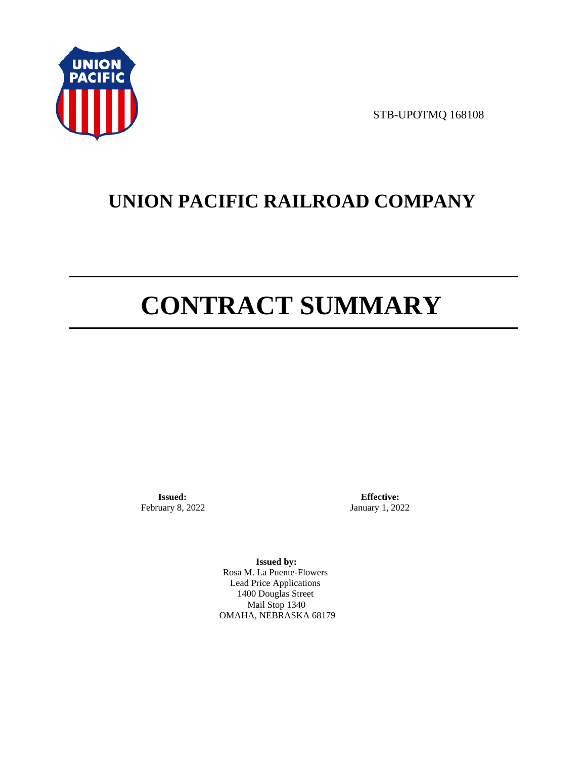

STB-UPOTMQ 168108

# **UNION PACIFIC RAILROAD COMPANY**

# **CONTRACT SUMMARY**

**Issued:**  February 8, 2022

**Effective:** January 1, 2022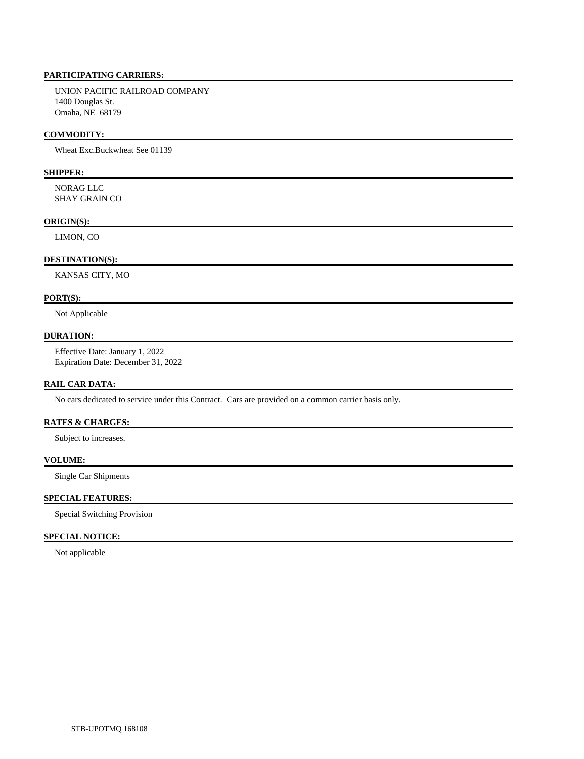UNION PACIFIC RAILROAD COMPANY 1400 Douglas St. Omaha, NE 68179

#### **COMMODITY:**

Wheat Exc.Buckwheat See 01139

# **SHIPPER:**

 NORAG LLC SHAY GRAIN CO

#### **ORIGIN(S):**

LIMON, CO

#### **DESTINATION(S):**

KANSAS CITY, MO

#### **PORT(S):**

Not Applicable

#### **DURATION:**

 Effective Date: January 1, 2022 Expiration Date: December 31, 2022

## **RAIL CAR DATA:**

No cars dedicated to service under this Contract. Cars are provided on a common carrier basis only.

#### **RATES & CHARGES:**

Subject to increases.

#### **VOLUME:**

Single Car Shipments

#### **SPECIAL FEATURES:**

Special Switching Provision

#### **SPECIAL NOTICE:**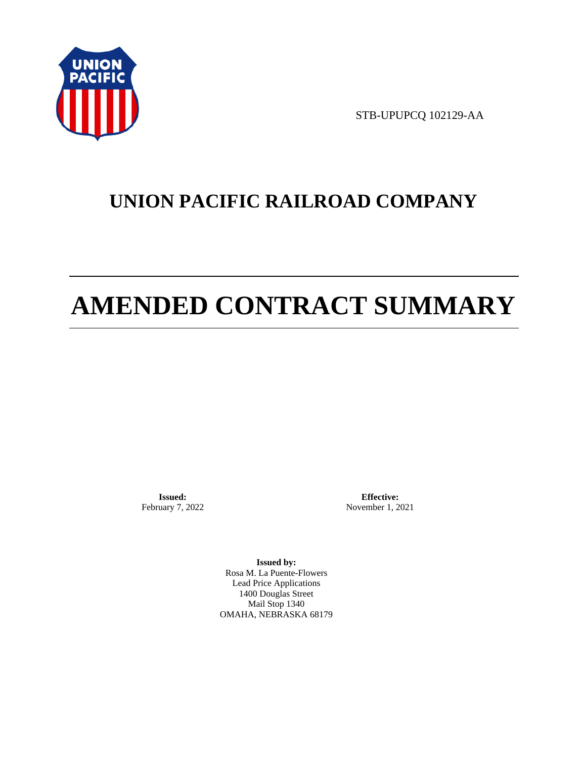

STB-UPUPCQ 102129-AA

# **UNION PACIFIC RAILROAD COMPANY**

# **AMENDED CONTRACT SUMMARY**

**Issued:**  February 7, 2022

**Effective:** November 1, 2021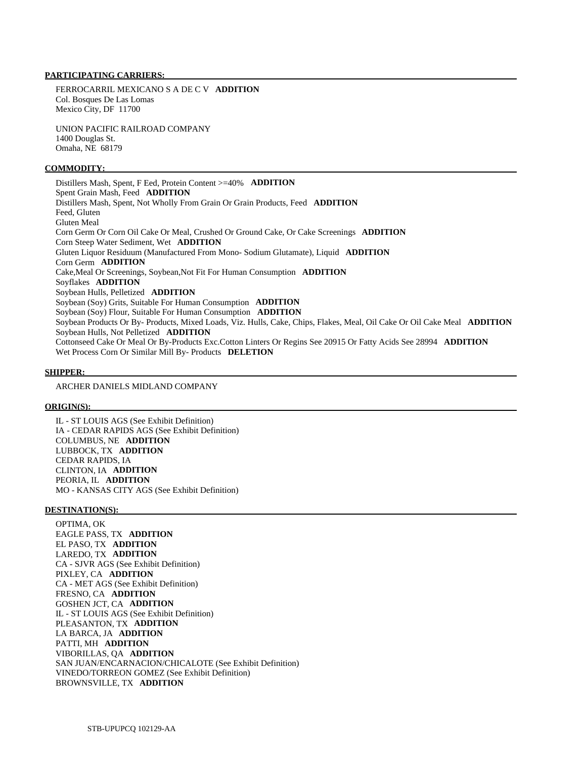FERROCARRIL MEXICANO S A DE C V **ADDITION**  Col. Bosques De Las Lomas Mexico City, DF 11700

 UNION PACIFIC RAILROAD COMPANY 1400 Douglas St. Omaha, NE 68179

#### **COMMODITY:**

 Distillers Mash, Spent, F Eed, Protein Content >=40% **ADDITION**  Spent Grain Mash, Feed **ADDITION**  Distillers Mash, Spent, Not Wholly From Grain Or Grain Products, Feed **ADDITION**  Feed, Gluten Gluten Meal Corn Germ Or Corn Oil Cake Or Meal, Crushed Or Ground Cake, Or Cake Screenings **ADDITION**  Corn Steep Water Sediment, Wet **ADDITION**  Gluten Liquor Residuum (Manufactured From Mono- Sodium Glutamate), Liquid **ADDITION**  Corn Germ **ADDITION**  Cake,Meal Or Screenings, Soybean,Not Fit For Human Consumption **ADDITION**  Soyflakes **ADDITION**  Soybean Hulls, Pelletized **ADDITION**  Soybean (Soy) Grits, Suitable For Human Consumption **ADDITION**  Soybean (Soy) Flour, Suitable For Human Consumption **ADDITION**  Soybean Products Or By- Products, Mixed Loads, Viz. Hulls, Cake, Chips, Flakes, Meal, Oil Cake Or Oil Cake Meal **ADDITION**  Soybean Hulls, Not Pelletized **ADDITION**  Cottonseed Cake Or Meal Or By-Products Exc.Cotton Linters Or Regins See 20915 Or Fatty Acids See 28994 **ADDITION**  Wet Process Corn Or Similar Mill By- Products **DELETION** 

#### **SHIPPER:**

ARCHER DANIELS MIDLAND COMPANY

#### **ORIGIN(S):**

 IL - ST LOUIS AGS (See Exhibit Definition) IA - CEDAR RAPIDS AGS (See Exhibit Definition) COLUMBUS, NE **ADDITION**  LUBBOCK, TX **ADDITION**  CEDAR RAPIDS, IA CLINTON, IA **ADDITION**  PEORIA, IL **ADDITION**  MO - KANSAS CITY AGS (See Exhibit Definition)

#### **DESTINATION(S):**

 OPTIMA, OK EAGLE PASS, TX **ADDITION**  EL PASO, TX **ADDITION**  LAREDO, TX **ADDITION**  CA - SJVR AGS (See Exhibit Definition) PIXLEY, CA **ADDITION**  CA - MET AGS (See Exhibit Definition) FRESNO, CA **ADDITION**  GOSHEN JCT, CA **ADDITION**  IL - ST LOUIS AGS (See Exhibit Definition) PLEASANTON, TX **ADDITION**  LA BARCA, JA **ADDITION**  PATTI, MH **ADDITION**  VIBORILLAS, QA **ADDITION**  SAN JUAN/ENCARNACION/CHICALOTE (See Exhibit Definition) VINEDO/TORREON GOMEZ (See Exhibit Definition) BROWNSVILLE, TX **ADDITION**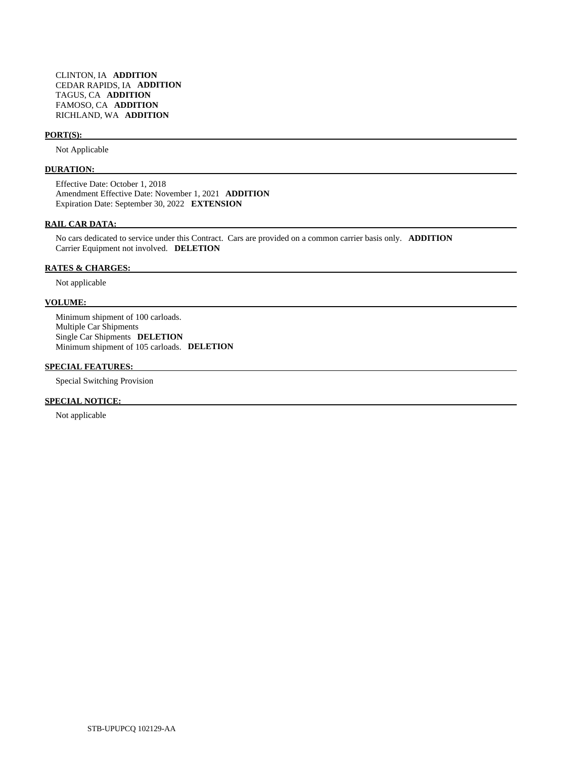#### **PORT(S):**

Not Applicable

#### **DURATION:**

 Effective Date: October 1, 2018 Amendment Effective Date: November 1, 2021 **ADDITION**  Expiration Date: September 30, 2022 **EXTENSION** 

#### **RAIL CAR DATA:**

 No cars dedicated to service under this Contract. Cars are provided on a common carrier basis only. **ADDITION**  Carrier Equipment not involved. **DELETION** 

#### **RATES & CHARGES:**

Not applicable

### **VOLUME:**

 Minimum shipment of 100 carloads. Multiple Car Shipments Single Car Shipments **DELETION**  Minimum shipment of 105 carloads. **DELETION** 

### **SPECIAL FEATURES:**

Special Switching Provision

#### **SPECIAL NOTICE:**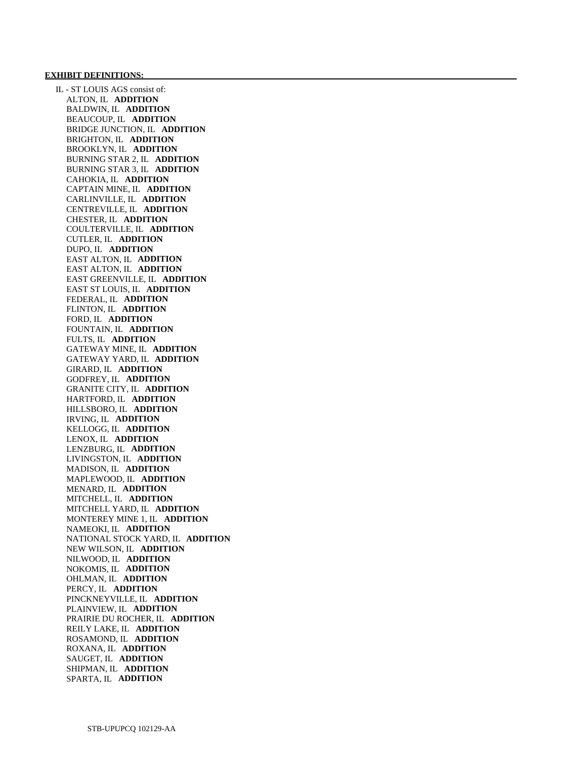#### **EXHIBIT DEFINITIONS:**

 IL - ST LOUIS AGS consist of: ALTON, IL **ADDITION**  BALDWIN, IL **ADDITION**  BEAUCOUP, IL **ADDITION**  BRIDGE JUNCTION, IL **ADDITION**  BRIGHTON, IL **ADDITION**  BROOKLYN, IL **ADDITION**  BURNING STAR 2, IL **ADDITION**  BURNING STAR 3, IL **ADDITION**  CAHOKIA, IL **ADDITION**  CAPTAIN MINE, IL **ADDITION**  CARLINVILLE, IL **ADDITION**  CENTREVILLE, IL **ADDITION**  CHESTER, IL **ADDITION**  COULTERVILLE, IL **ADDITION**  CUTLER, IL **ADDITION**  DUPO, IL **ADDITION**  EAST ALTON, IL **ADDITION**  EAST ALTON, IL **ADDITION**  EAST GREENVILLE, IL **ADDITION**  EAST ST LOUIS, IL **ADDITION**  FEDERAL, IL **ADDITION**  FLINTON, IL **ADDITION**  FORD, IL **ADDITION**  FOUNTAIN, IL **ADDITION**  FULTS, IL **ADDITION**  GATEWAY MINE, IL **ADDITION**  GATEWAY YARD, IL **ADDITION**  GIRARD, IL **ADDITION**  GODFREY, IL **ADDITION**  GRANITE CITY, IL **ADDITION**  HARTFORD, IL **ADDITION**  HILLSBORO, IL **ADDITION**  IRVING, IL **ADDITION**  KELLOGG, IL **ADDITION**  LENOX, IL **ADDITION**  LENZBURG, IL **ADDITION**  LIVINGSTON, IL **ADDITION**  MADISON, IL **ADDITION**  MAPLEWOOD, IL **ADDITION**  MENARD, IL **ADDITION**  MITCHELL, IL **ADDITION**  MITCHELL YARD, IL **ADDITION**  MONTEREY MINE 1, IL **ADDITION**  NAMEOKI, IL **ADDITION**  NATIONAL STOCK YARD, IL **ADDITION**  NEW WILSON, IL **ADDITION**  NILWOOD, IL **ADDITION**  NOKOMIS, IL **ADDITION**  OHLMAN, IL **ADDITION**  PERCY, IL **ADDITION**  PINCKNEYVILLE, IL **ADDITION**  PLAINVIEW, IL **ADDITION**  PRAIRIE DU ROCHER, IL **ADDITION**  REILY LAKE, IL **ADDITION**  ROSAMOND, IL **ADDITION**  ROXANA, IL **ADDITION**  SAUGET, IL **ADDITION**  SHIPMAN, IL **ADDITION**  SPARTA, IL **ADDITION**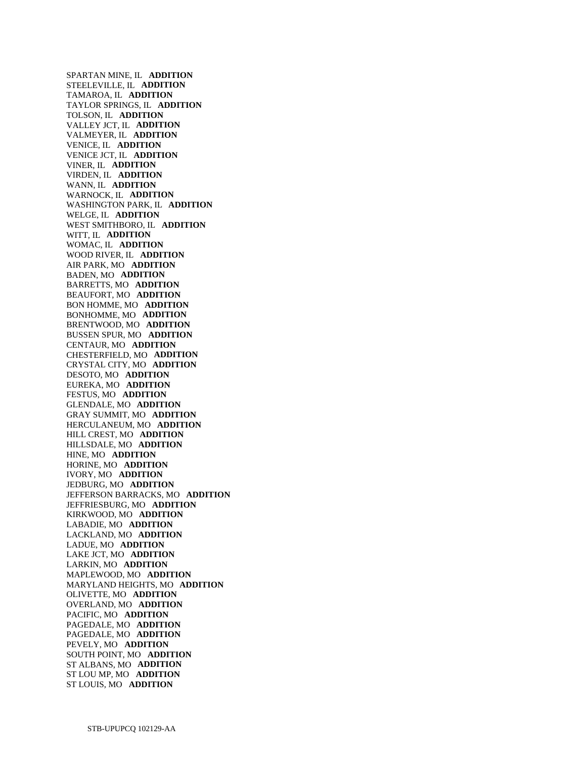SPARTAN MINE, IL **ADDITION**  STEELEVILLE, IL **ADDITION**  TAMAROA, IL **ADDITION**  TAYLOR SPRINGS, IL **ADDITION**  TOLSON, IL **ADDITION**  VALLEY JCT, IL **ADDITION**  VALMEYER, IL **ADDITION**  VENICE, IL **ADDITION**  VENICE JCT, IL **ADDITION**  VINER, IL **ADDITION**  VIRDEN, IL **ADDITION**  WANN, IL **ADDITION**  WARNOCK, IL **ADDITION**  WASHINGTON PARK, IL **ADDITION**  WELGE, IL **ADDITION**  WEST SMITHBORO, IL **ADDITION**  WITT, IL **ADDITION**  WOMAC, IL **ADDITION**  WOOD RIVER, IL **ADDITION**  AIR PARK, MO **ADDITION**  BADEN, MO **ADDITION**  BARRETTS, MO **ADDITION**  BEAUFORT, MO **ADDITION**  BON HOMME, MO **ADDITION**  BONHOMME, MO **ADDITION**  BRENTWOOD, MO **ADDITION**  BUSSEN SPUR, MO **ADDITION**  CENTAUR, MO **ADDITION**  CHESTERFIELD, MO **ADDITION**  CRYSTAL CITY, MO **ADDITION**  DESOTO, MO **ADDITION**  EUREKA, MO **ADDITION**  FESTUS, MO **ADDITION**  GLENDALE, MO **ADDITION**  GRAY SUMMIT, MO **ADDITION**  HERCULANEUM, MO **ADDITION**  HILL CREST, MO **ADDITION**  HILLSDALE, MO **ADDITION**  HINE, MO **ADDITION**  HORINE, MO **ADDITION**  IVORY, MO **ADDITION**  JEDBURG, MO **ADDITION**  JEFFERSON BARRACKS, MO **ADDITION**  JEFFRIESBURG, MO **ADDITION**  KIRKWOOD, MO **ADDITION**  LABADIE, MO **ADDITION**  LACKLAND, MO **ADDITION**  LADUE, MO **ADDITION**  LAKE JCT, MO **ADDITION**  LARKIN, MO **ADDITION**  MAPLEWOOD, MO **ADDITION**  MARYLAND HEIGHTS, MO **ADDITION**  OLIVETTE, MO **ADDITION**  OVERLAND, MO **ADDITION**  PACIFIC, MO **ADDITION**  PAGEDALE, MO **ADDITION**  PAGEDALE, MO **ADDITION**  PEVELY, MO **ADDITION**  SOUTH POINT, MO **ADDITION**  ST ALBANS, MO **ADDITION**  ST LOU MP, MO **ADDITION**  ST LOUIS, MO **ADDITION**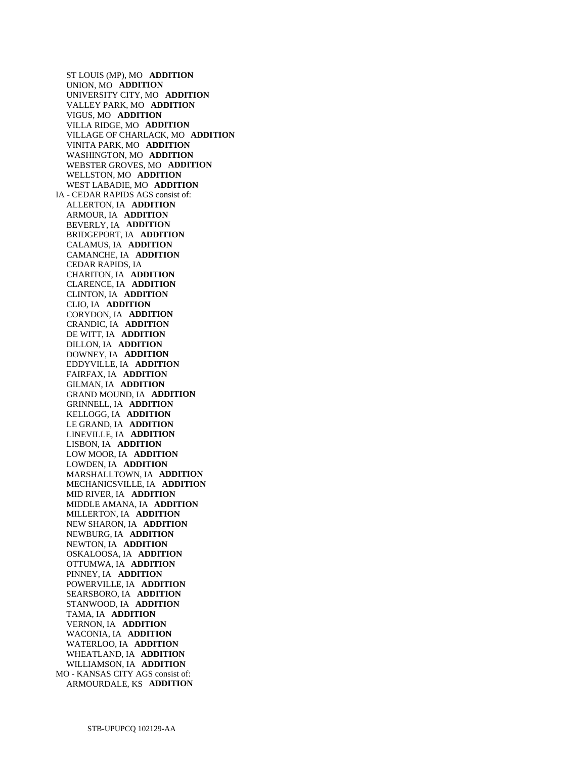ST LOUIS (MP), MO **ADDITION**  UNION, MO **ADDITION**  UNIVERSITY CITY, MO **ADDITION**  VALLEY PARK, MO **ADDITION**  VIGUS, MO **ADDITION**  VILLA RIDGE, MO **ADDITION**  VILLAGE OF CHARLACK, MO **ADDITION**  VINITA PARK, MO **ADDITION**  WASHINGTON, MO **ADDITION**  WEBSTER GROVES, MO **ADDITION**  WELLSTON, MO **ADDITION**  WEST LABADIE, MO **ADDITION**  IA - CEDAR RAPIDS AGS consist of: ALLERTON, IA **ADDITION**  ARMOUR, IA **ADDITION**  BEVERLY, IA **ADDITION**  BRIDGEPORT, IA **ADDITION**  CALAMUS, IA **ADDITION**  CAMANCHE, IA **ADDITION**  CEDAR RAPIDS, IA CHARITON, IA **ADDITION**  CLARENCE, IA **ADDITION**  CLINTON, IA **ADDITION**  CLIO, IA **ADDITION**  CORYDON, IA **ADDITION**  CRANDIC, IA **ADDITION**  DE WITT, IA **ADDITION**  DILLON, IA **ADDITION**  DOWNEY, IA **ADDITION**  EDDYVILLE, IA **ADDITION**  FAIRFAX, IA **ADDITION**  GILMAN, IA **ADDITION**  GRAND MOUND, IA **ADDITION**  GRINNELL, IA **ADDITION**  KELLOGG, IA **ADDITION**  LE GRAND, IA **ADDITION**  LINEVILLE, IA **ADDITION**  LISBON, IA **ADDITION**  LOW MOOR, IA **ADDITION**  LOWDEN, IA **ADDITION**  MARSHALLTOWN, IA **ADDITION**  MECHANICSVILLE, IA **ADDITION**  MID RIVER, IA **ADDITION**  MIDDLE AMANA, IA **ADDITION**  MILLERTON, IA **ADDITION**  NEW SHARON, IA **ADDITION**  NEWBURG, IA **ADDITION**  NEWTON, IA **ADDITION**  OSKALOOSA, IA **ADDITION**  OTTUMWA, IA **ADDITION**  PINNEY, IA **ADDITION**  POWERVILLE, IA **ADDITION**  SEARSBORO, IA **ADDITION**  STANWOOD, IA **ADDITION**  TAMA, IA **ADDITION**  VERNON, IA **ADDITION**  WACONIA, IA **ADDITION**  WATERLOO, IA **ADDITION**  WHEATLAND, IA **ADDITION**  WILLIAMSON, IA **ADDITION**  MO - KANSAS CITY AGS consist of: ARMOURDALE, KS **ADDITION**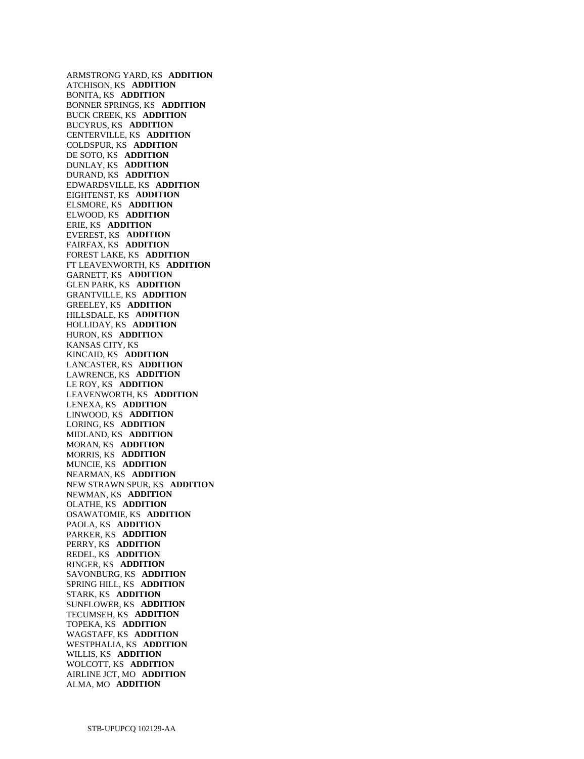ARMSTRONG YARD, KS **ADDITION**  ATCHISON, KS **ADDITION**  BONITA, KS **ADDITION**  BONNER SPRINGS, KS **ADDITION**  BUCK CREEK, KS **ADDITION**  BUCYRUS, KS **ADDITION**  CENTERVILLE, KS **ADDITION**  COLDSPUR, KS **ADDITION**  DE SOTO, KS **ADDITION**  DUNLAY, KS **ADDITION**  DURAND, KS **ADDITION**  EDWARDSVILLE, KS **ADDITION**  EIGHTENST, KS **ADDITION**  ELSMORE, KS **ADDITION**  ELWOOD, KS **ADDITION**  ERIE, KS **ADDITION**  EVEREST, KS **ADDITION**  FAIRFAX, KS **ADDITION**  FOREST LAKE, KS **ADDITION**  FT LEAVENWORTH, KS **ADDITION**  GARNETT, KS **ADDITION**  GLEN PARK, KS **ADDITION**  GRANTVILLE, KS **ADDITION**  GREELEY, KS **ADDITION**  HILLSDALE, KS **ADDITION**  HOLLIDAY, KS **ADDITION**  HURON, KS **ADDITION**  KANSAS CITY, KS KINCAID, KS **ADDITION**  LANCASTER, KS **ADDITION**  LAWRENCE, KS **ADDITION**  LE ROY, KS **ADDITION**  LEAVENWORTH, KS **ADDITION**  LENEXA, KS **ADDITION**  LINWOOD, KS **ADDITION**  LORING, KS **ADDITION**  MIDLAND, KS **ADDITION**  MORAN, KS **ADDITION**  MORRIS, KS **ADDITION**  MUNCIE, KS **ADDITION**  NEARMAN, KS **ADDITION**  NEW STRAWN SPUR, KS **ADDITION**  NEWMAN, KS **ADDITION**  OLATHE, KS **ADDITION**  OSAWATOMIE, KS **ADDITION**  PAOLA, KS **ADDITION**  PARKER, KS **ADDITION**  PERRY, KS **ADDITION**  REDEL, KS **ADDITION**  RINGER, KS **ADDITION**  SAVONBURG, KS **ADDITION**  SPRING HILL, KS **ADDITION**  STARK, KS **ADDITION**  SUNFLOWER, KS **ADDITION**  TECUMSEH, KS **ADDITION**  TOPEKA, KS **ADDITION**  WAGSTAFF, KS **ADDITION**  WESTPHALIA, KS **ADDITION**  WILLIS, KS **ADDITION**  WOLCOTT, KS **ADDITION**  AIRLINE JCT, MO **ADDITION**  ALMA, MO **ADDITION**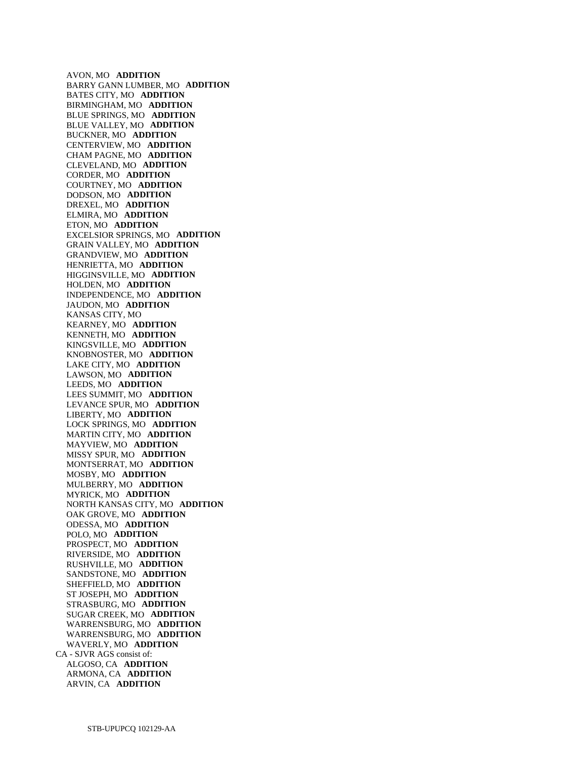AVON, MO **ADDITION**  BARRY GANN LUMBER, MO **ADDITION**  BATES CITY, MO **ADDITION**  BIRMINGHAM, MO **ADDITION**  BLUE SPRINGS, MO **ADDITION**  BLUE VALLEY, MO **ADDITION**  BUCKNER, MO **ADDITION**  CENTERVIEW, MO **ADDITION**  CHAM PAGNE, MO **ADDITION**  CLEVELAND, MO **ADDITION**  CORDER, MO **ADDITION**  COURTNEY, MO **ADDITION**  DODSON, MO **ADDITION**  DREXEL, MO **ADDITION**  ELMIRA, MO **ADDITION**  ETON, MO **ADDITION**  EXCELSIOR SPRINGS, MO **ADDITION**  GRAIN VALLEY, MO **ADDITION**  GRANDVIEW, MO **ADDITION**  HENRIETTA, MO **ADDITION**  HIGGINSVILLE, MO **ADDITION**  HOLDEN, MO **ADDITION**  INDEPENDENCE, MO **ADDITION**  JAUDON, MO **ADDITION**  KANSAS CITY, MO KEARNEY, MO **ADDITION**  KENNETH, MO **ADDITION**  KINGSVILLE, MO **ADDITION**  KNOBNOSTER, MO **ADDITION**  LAKE CITY, MO **ADDITION**  LAWSON, MO **ADDITION**  LEEDS, MO **ADDITION**  LEES SUMMIT, MO **ADDITION**  LEVANCE SPUR, MO **ADDITION**  LIBERTY, MO **ADDITION**  LOCK SPRINGS, MO **ADDITION**  MARTIN CITY, MO **ADDITION**  MAYVIEW, MO **ADDITION**  MISSY SPUR, MO **ADDITION**  MONTSERRAT, MO **ADDITION**  MOSBY, MO **ADDITION**  MULBERRY, MO **ADDITION**  MYRICK, MO **ADDITION**  NORTH KANSAS CITY, MO **ADDITION**  OAK GROVE, MO **ADDITION**  ODESSA, MO **ADDITION**  POLO, MO **ADDITION**  PROSPECT, MO **ADDITION**  RIVERSIDE, MO **ADDITION**  RUSHVILLE, MO **ADDITION**  SANDSTONE, MO **ADDITION**  SHEFFIELD, MO **ADDITION**  ST JOSEPH, MO **ADDITION**  STRASBURG, MO **ADDITION**  SUGAR CREEK, MO **ADDITION**  WARRENSBURG, MO **ADDITION**  WARRENSBURG, MO **ADDITION**  WAVERLY, MO **ADDITION**  CA - SJVR AGS consist of: ALGOSO, CA **ADDITION**  ARMONA, CA **ADDITION**  ARVIN, CA **ADDITION**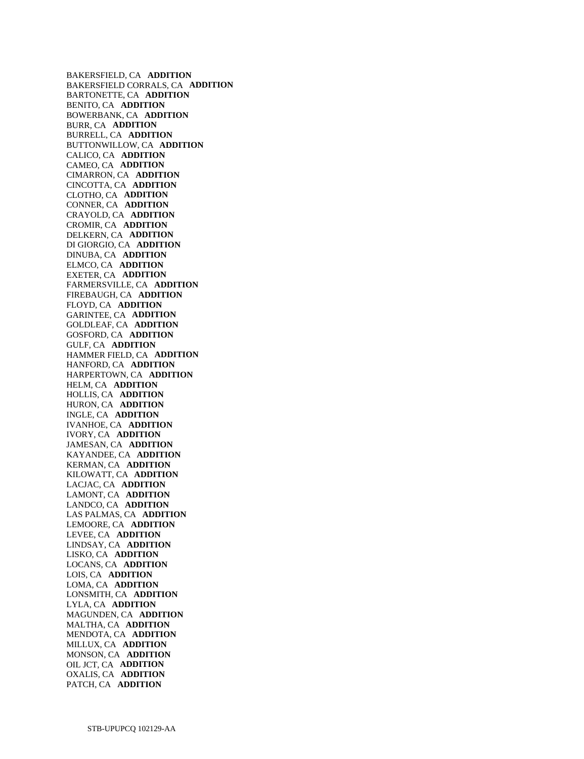BAKERSFIELD, CA **ADDITION**  BAKERSFIELD CORRALS, CA **ADDITION**  BARTONETTE, CA **ADDITION**  BENITO, CA **ADDITION**  BOWERBANK, CA **ADDITION**  BURR, CA **ADDITION**  BURRELL, CA **ADDITION**  BUTTONWILLOW, CA **ADDITION**  CALICO, CA **ADDITION**  CAMEO, CA **ADDITION**  CIMARRON, CA **ADDITION**  CINCOTTA, CA **ADDITION**  CLOTHO, CA **ADDITION**  CONNER, CA **ADDITION**  CRAYOLD, CA **ADDITION**  CROMIR, CA **ADDITION**  DELKERN, CA **ADDITION**  DI GIORGIO, CA **ADDITION**  DINUBA, CA **ADDITION**  ELMCO, CA **ADDITION**  EXETER, CA **ADDITION**  FARMERSVILLE, CA **ADDITION**  FIREBAUGH, CA **ADDITION**  FLOYD, CA **ADDITION**  GARINTEE, CA **ADDITION**  GOLDLEAF, CA **ADDITION**  GOSFORD, CA **ADDITION**  GULF, CA **ADDITION**  HAMMER FIELD, CA **ADDITION**  HANFORD, CA **ADDITION**  HARPERTOWN, CA **ADDITION**  HELM, CA **ADDITION**  HOLLIS, CA **ADDITION**  HURON, CA **ADDITION**  INGLE, CA **ADDITION**  IVANHOE, CA **ADDITION**  IVORY, CA **ADDITION**  JAMESAN, CA **ADDITION**  KAYANDEE, CA **ADDITION**  KERMAN, CA **ADDITION**  KILOWATT, CA **ADDITION**  LACJAC, CA **ADDITION**  LAMONT, CA **ADDITION**  LANDCO, CA **ADDITION**  LAS PALMAS, CA **ADDITION**  LEMOORE, CA **ADDITION**  LEVEE, CA **ADDITION**  LINDSAY, CA **ADDITION**  LISKO, CA **ADDITION**  LOCANS, CA **ADDITION**  LOIS, CA **ADDITION**  LOMA, CA **ADDITION**  LONSMITH, CA **ADDITION**  LYLA, CA **ADDITION**  MAGUNDEN, CA **ADDITION**  MALTHA, CA **ADDITION**  MENDOTA, CA **ADDITION**  MILLUX, CA **ADDITION**  MONSON, CA **ADDITION**  OIL JCT, CA **ADDITION**  OXALIS, CA **ADDITION**  PATCH, CA **ADDITION**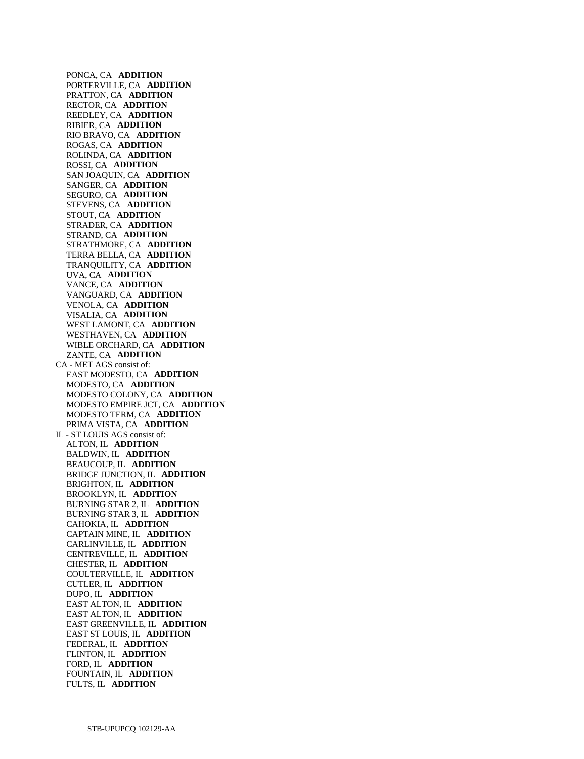PONCA, CA **ADDITION**  PORTERVILLE, CA **ADDITION**  PRATTON, CA **ADDITION**  RECTOR, CA **ADDITION**  REEDLEY, CA **ADDITION**  RIBIER, CA **ADDITION**  RIO BRAVO, CA **ADDITION**  ROGAS, CA **ADDITION**  ROLINDA, CA **ADDITION**  ROSSI, CA **ADDITION**  SAN JOAQUIN, CA **ADDITION**  SANGER, CA **ADDITION**  SEGURO, CA **ADDITION**  STEVENS, CA **ADDITION**  STOUT, CA **ADDITION**  STRADER, CA **ADDITION**  STRAND, CA **ADDITION**  STRATHMORE, CA **ADDITION**  TERRA BELLA, CA **ADDITION**  TRANQUILITY, CA **ADDITION**  UVA, CA **ADDITION**  VANCE, CA **ADDITION**  VANGUARD, CA **ADDITION**  VENOLA, CA **ADDITION**  VISALIA, CA **ADDITION**  WEST LAMONT, CA **ADDITION**  WESTHAVEN, CA **ADDITION**  WIBLE ORCHARD, CA **ADDITION**  ZANTE, CA **ADDITION**  CA - MET AGS consist of: EAST MODESTO, CA **ADDITION**  MODESTO, CA **ADDITION**  MODESTO COLONY, CA **ADDITION**  MODESTO EMPIRE JCT, CA **ADDITION**  MODESTO TERM, CA **ADDITION**  PRIMA VISTA, CA **ADDITION**  IL - ST LOUIS AGS consist of: ALTON, IL **ADDITION**  BALDWIN, IL **ADDITION**  BEAUCOUP, IL **ADDITION**  BRIDGE JUNCTION, IL **ADDITION**  BRIGHTON, IL **ADDITION**  BROOKLYN, IL **ADDITION**  BURNING STAR 2, IL **ADDITION**  BURNING STAR 3, IL **ADDITION**  CAHOKIA, IL **ADDITION**  CAPTAIN MINE, IL **ADDITION**  CARLINVILLE, IL **ADDITION**  CENTREVILLE, IL **ADDITION**  CHESTER, IL **ADDITION**  COULTERVILLE, IL **ADDITION**  CUTLER, IL **ADDITION**  DUPO, IL **ADDITION**  EAST ALTON, IL **ADDITION**  EAST ALTON, IL **ADDITION**  EAST GREENVILLE, IL **ADDITION**  EAST ST LOUIS, IL **ADDITION**  FEDERAL, IL **ADDITION**  FLINTON, IL **ADDITION**  FORD, IL **ADDITION**  FOUNTAIN, IL **ADDITION**  FULTS, IL **ADDITION**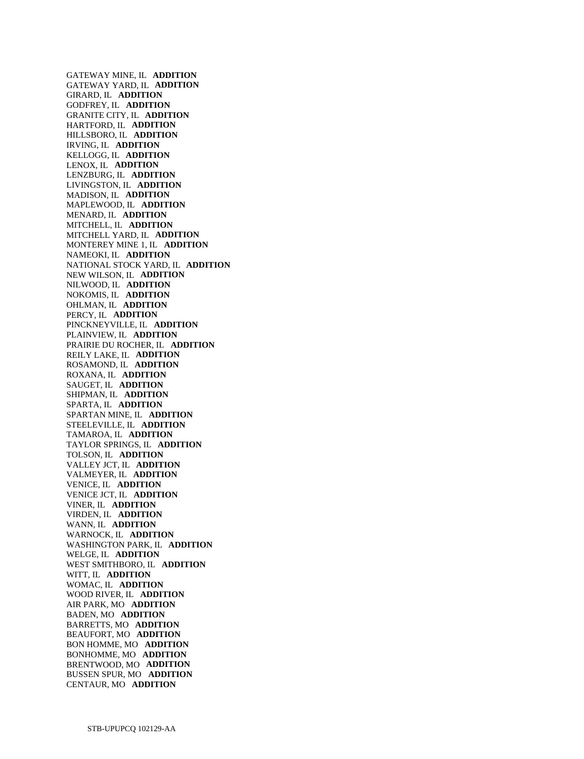GATEWAY MINE, IL **ADDITION**  GATEWAY YARD, IL **ADDITION**  GIRARD, IL **ADDITION**  GODFREY, IL **ADDITION**  GRANITE CITY, IL **ADDITION**  HARTFORD, IL **ADDITION**  HILLSBORO, IL **ADDITION**  IRVING, IL **ADDITION**  KELLOGG, IL **ADDITION**  LENOX, IL **ADDITION**  LENZBURG, IL **ADDITION**  LIVINGSTON, IL **ADDITION**  MADISON, IL **ADDITION**  MAPLEWOOD, IL **ADDITION**  MENARD, IL **ADDITION**  MITCHELL, IL **ADDITION**  MITCHELL YARD, IL **ADDITION**  MONTEREY MINE 1, IL **ADDITION**  NAMEOKI, IL **ADDITION**  NATIONAL STOCK YARD, IL **ADDITION**  NEW WILSON, IL **ADDITION**  NILWOOD, IL **ADDITION**  NOKOMIS, IL **ADDITION**  OHLMAN, IL **ADDITION**  PERCY, IL **ADDITION**  PINCKNEYVILLE, IL **ADDITION**  PLAINVIEW, IL **ADDITION**  PRAIRIE DU ROCHER, IL **ADDITION**  REILY LAKE, IL **ADDITION**  ROSAMOND, IL **ADDITION**  ROXANA, IL **ADDITION**  SAUGET, IL **ADDITION**  SHIPMAN, IL **ADDITION**  SPARTA, IL **ADDITION**  SPARTAN MINE, IL **ADDITION**  STEELEVILLE, IL **ADDITION**  TAMAROA, IL **ADDITION**  TAYLOR SPRINGS, IL **ADDITION**  TOLSON, IL **ADDITION**  VALLEY JCT, IL **ADDITION**  VALMEYER, IL **ADDITION**  VENICE, IL **ADDITION**  VENICE JCT, IL **ADDITION**  VINER, IL **ADDITION**  VIRDEN, IL **ADDITION**  WANN, IL **ADDITION**  WARNOCK, IL **ADDITION**  WASHINGTON PARK, IL **ADDITION**  WELGE, IL **ADDITION**  WEST SMITHBORO, IL **ADDITION**  WITT, IL **ADDITION**  WOMAC, IL **ADDITION**  WOOD RIVER, IL **ADDITION**  AIR PARK, MO **ADDITION**  BADEN, MO **ADDITION**  BARRETTS, MO **ADDITION**  BEAUFORT, MO **ADDITION**  BON HOMME, MO **ADDITION**  BONHOMME, MO **ADDITION**  BRENTWOOD, MO **ADDITION**  BUSSEN SPUR, MO **ADDITION**  CENTAUR, MO **ADDITION**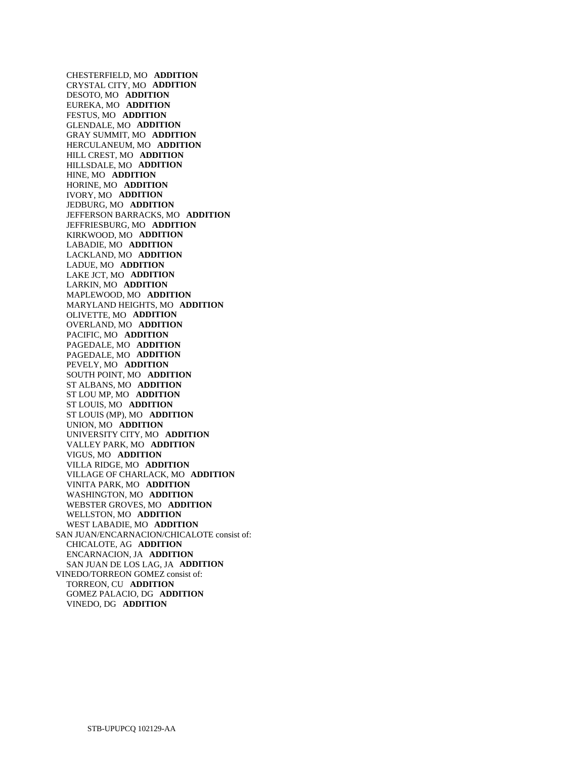CHESTERFIELD, MO **ADDITION**  CRYSTAL CITY, MO **ADDITION**  DESOTO, MO **ADDITION**  EUREKA, MO **ADDITION**  FESTUS, MO **ADDITION**  GLENDALE, MO **ADDITION**  GRAY SUMMIT, MO **ADDITION**  HERCULANEUM, MO **ADDITION**  HILL CREST, MO **ADDITION**  HILLSDALE, MO **ADDITION**  HINE, MO **ADDITION**  HORINE, MO **ADDITION**  IVORY, MO **ADDITION**  JEDBURG, MO **ADDITION**  JEFFERSON BARRACKS, MO **ADDITION**  JEFFRIESBURG, MO **ADDITION**  KIRKWOOD, MO **ADDITION**  LABADIE, MO **ADDITION**  LACKLAND, MO **ADDITION**  LADUE, MO **ADDITION**  LAKE JCT, MO **ADDITION**  LARKIN, MO **ADDITION**  MAPLEWOOD, MO **ADDITION**  MARYLAND HEIGHTS, MO **ADDITION**  OLIVETTE, MO **ADDITION**  OVERLAND, MO **ADDITION**  PACIFIC, MO **ADDITION**  PAGEDALE, MO **ADDITION**  PAGEDALE, MO **ADDITION**  PEVELY, MO **ADDITION**  SOUTH POINT, MO **ADDITION**  ST ALBANS, MO **ADDITION**  ST LOU MP, MO **ADDITION**  ST LOUIS, MO **ADDITION**  ST LOUIS (MP), MO **ADDITION**  UNION, MO **ADDITION**  UNIVERSITY CITY, MO **ADDITION**  VALLEY PARK, MO **ADDITION**  VIGUS, MO **ADDITION**  VILLA RIDGE, MO **ADDITION**  VILLAGE OF CHARLACK, MO **ADDITION**  VINITA PARK, MO **ADDITION**  WASHINGTON, MO **ADDITION**  WEBSTER GROVES, MO **ADDITION**  WELLSTON, MO **ADDITION**  WEST LABADIE, MO **ADDITION**  SAN JUAN/ENCARNACION/CHICALOTE consist of: CHICALOTE, AG **ADDITION**  ENCARNACION, JA **ADDITION**  SAN JUAN DE LOS LAG, JA **ADDITION**  VINEDO/TORREON GOMEZ consist of: TORREON, CU **ADDITION**  GOMEZ PALACIO, DG **ADDITION**  VINEDO, DG **ADDITION**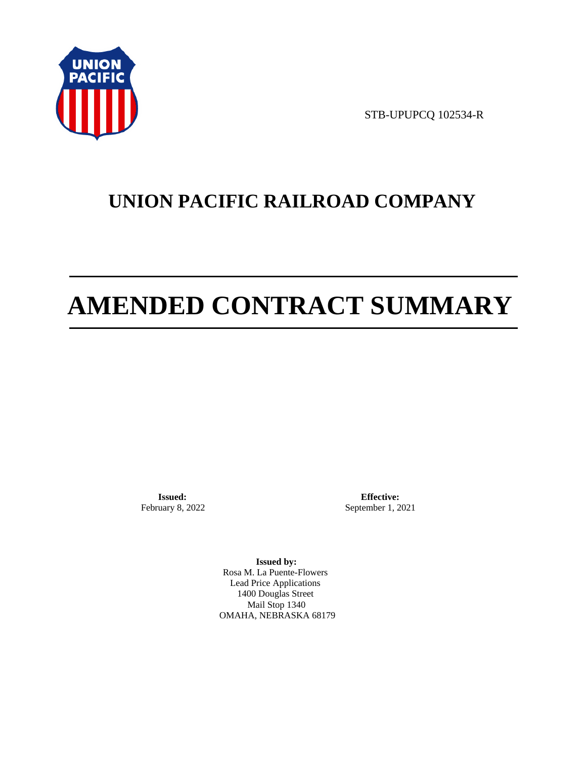

STB-UPUPCQ 102534-R

# **UNION PACIFIC RAILROAD COMPANY**

# **AMENDED CONTRACT SUMMARY**

**Issued:**  February 8, 2022

**Effective:** September 1, 2021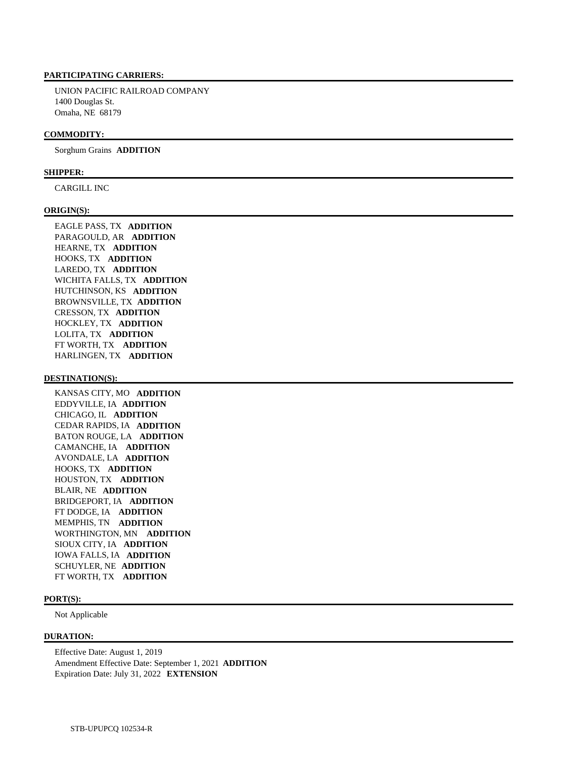UNION PACIFIC RAILROAD COMPANY 1400 Douglas St. Omaha, NE 68179

#### **COMMODITY:**

Sorghum Grains **ADDITION** 

#### **SHIPPER:**

CARGILL INC

#### **ORIGIN(S):**

 EAGLE PASS, TX **ADDITION**  PARAGOULD, AR **ADDITION**  HEARNE, TX **ADDITION**  HOOKS, TX **ADDITION**  LAREDO, TX **ADDITION**  WICHITA FALLS, TX **ADDITION**  HUTCHINSON, KS **ADDITION**  BROWNSVILLE, TX **ADDITION**  CRESSON, TX **ADDITION**  HOCKLEY, TX **ADDITION**  LOLITA, TX **ADDITION**  FT WORTH, TX **ADDITION**  HARLINGEN, TX **ADDITION** 

#### **DESTINATION(S):**

 KANSAS CITY, MO **ADDITION**  EDDYVILLE, IA **ADDITION**  CHICAGO, IL **ADDITION**  CEDAR RAPIDS, IA **ADDITION**  BATON ROUGE, LA **ADDITION**  CAMANCHE, IA **ADDITION**  AVONDALE, LA **ADDITION**  HOOKS, TX **ADDITION**  HOUSTON, TX **ADDITION**  BLAIR, NE **ADDITION**  BRIDGEPORT, IA **ADDITION**  FT DODGE, IA **ADDITION**  MEMPHIS, TN **ADDITION**  WORTHINGTON, MN **ADDITION**  SIOUX CITY, IA **ADDITION**  IOWA FALLS, IA **ADDITION**  SCHUYLER, NE **ADDITION**  FT WORTH, TX **ADDITION** 

#### **PORT(S):**

Not Applicable

#### **DURATION:**

 Effective Date: August 1, 2019 Amendment Effective Date: September 1, 2021 **ADDITION**  Expiration Date: July 31, 2022 **EXTENSION**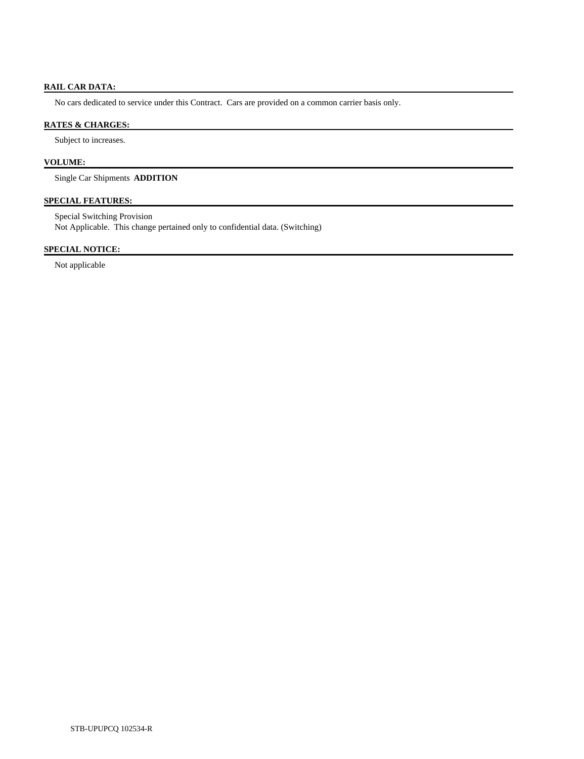# **RAIL CAR DATA:**

No cars dedicated to service under this Contract. Cars are provided on a common carrier basis only.

# **RATES & CHARGES:**

Subject to increases.

# **VOLUME:**

Single Car Shipments **ADDITION** 

# **SPECIAL FEATURES:**

 Special Switching Provision Not Applicable. This change pertained only to confidential data. (Switching)

# **SPECIAL NOTICE:**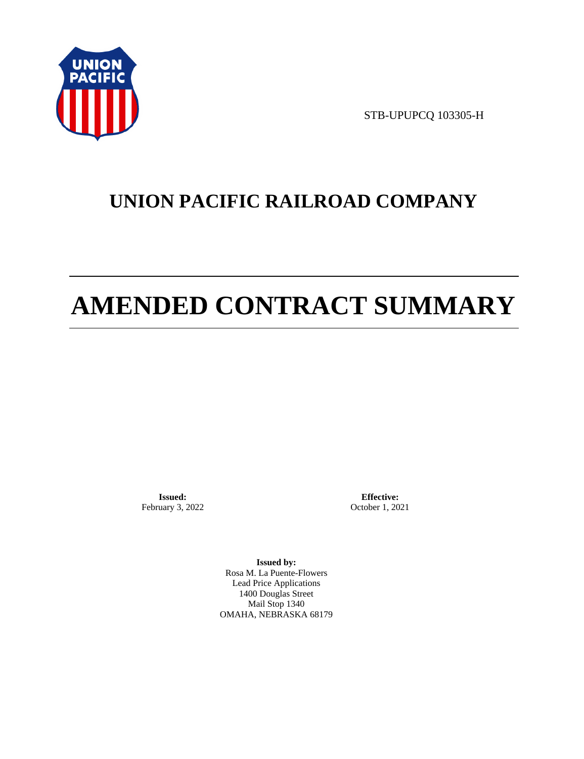

STB-UPUPCQ 103305-H

# **UNION PACIFIC RAILROAD COMPANY**

# **AMENDED CONTRACT SUMMARY**

**Issued:**  February 3, 2022

**Effective:** October 1, 2021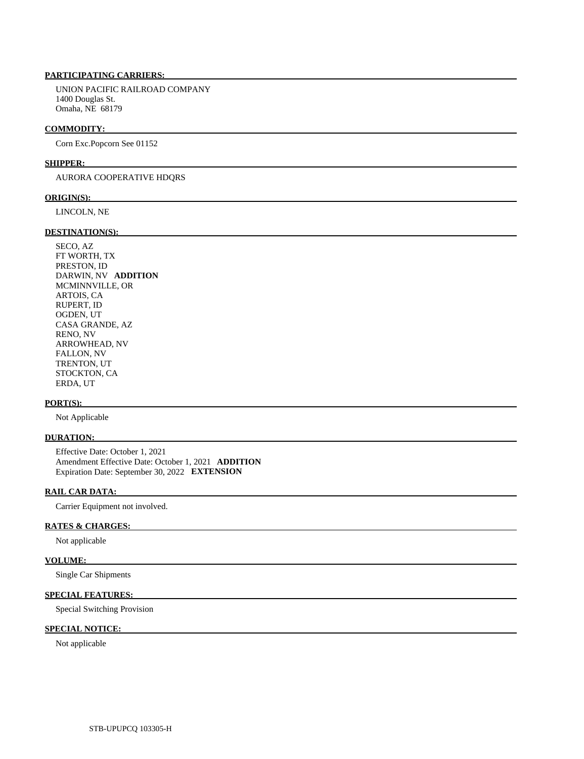UNION PACIFIC RAILROAD COMPANY 1400 Douglas St. Omaha, NE 68179

#### **COMMODITY:**

Corn Exc.Popcorn See 01152

#### **SHIPPER:**

AURORA COOPERATIVE HDQRS

#### **ORIGIN(S):**

LINCOLN, NE

### **DESTINATION(S):**

 SECO, AZ FT WORTH, TX PRESTON, ID DARWIN, NV **ADDITION**  MCMINNVILLE, OR ARTOIS, CA RUPERT, ID OGDEN, UT CASA GRANDE, AZ RENO, NV ARROWHEAD, NV FALLON, NV TRENTON, UT STOCKTON, CA ERDA, UT

#### **PORT(S):**

Not Applicable

#### **DURATION:**

 Effective Date: October 1, 2021 Amendment Effective Date: October 1, 2021 **ADDITION**  Expiration Date: September 30, 2022 **EXTENSION** 

#### **RAIL CAR DATA:**

Carrier Equipment not involved.

### **RATES & CHARGES:**

Not applicable

# **VOLUME:**

Single Car Shipments

# **SPECIAL FEATURES:**

Special Switching Provision

## **SPECIAL NOTICE:**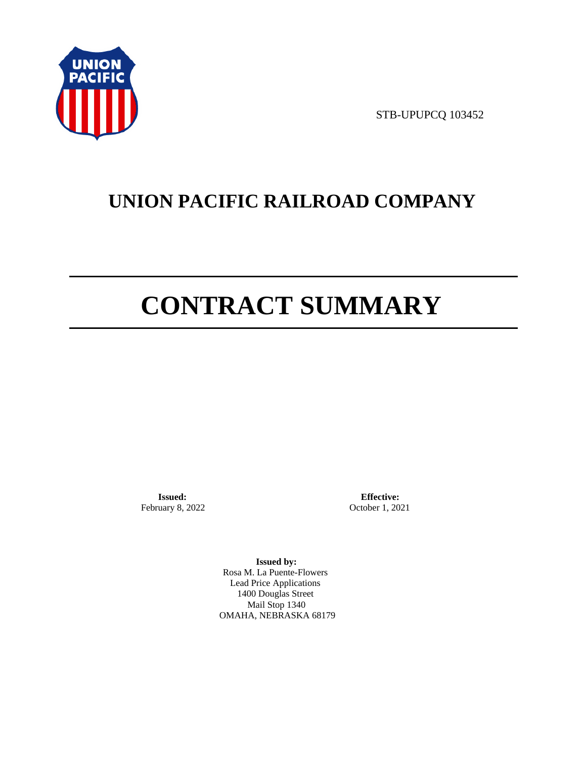

STB-UPUPCQ 103452

# **UNION PACIFIC RAILROAD COMPANY**

# **CONTRACT SUMMARY**

**Issued:**  February 8, 2022

**Effective:** October 1, 2021